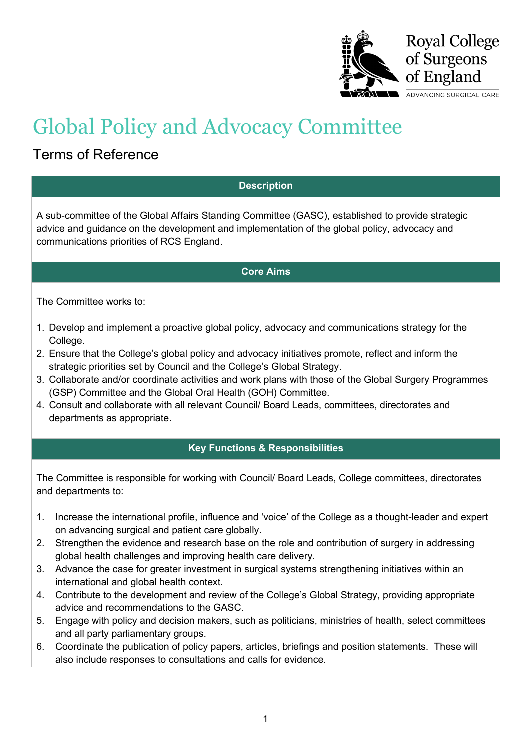

# Global Policy and Advocacy Committee

## Terms of Reference

### **Description**

A sub-committee of the Global Affairs Standing Committee (GASC), established to provide strategic advice and guidance on the development and implementation of the global policy, advocacy and communications priorities of RCS England.

#### **Core Aims**

The Committee works to:

- 1. Develop and implement a proactive global policy, advocacy and communications strategy for the College.
- 2. Ensure that the College's global policy and advocacy initiatives promote, reflect and inform the strategic priorities set by Council and the College's Global Strategy.
- 3. Collaborate and/or coordinate activities and work plans with those of the Global Surgery Programmes (GSP) Committee and the Global Oral Health (GOH) Committee.
- 4. Consult and collaborate with all relevant Council/ Board Leads, committees, directorates and departments as appropriate.

### **Key Functions & Responsibilities**

The Committee is responsible for working with Council/ Board Leads, College committees, directorates and departments to:

- 1. Increase the international profile, influence and 'voice' of the College as a thought-leader and expert on advancing surgical and patient care globally.
- 2. Strengthen the evidence and research base on the role and contribution of surgery in addressing global health challenges and improving health care delivery.
- 3. Advance the case for greater investment in surgical systems strengthening initiatives within an international and global health context.
- 4. Contribute to the development and review of the College's Global Strategy, providing appropriate advice and recommendations to the GASC.
- 5. Engage with policy and decision makers, such as politicians, ministries of health, select committees and all party parliamentary groups.
- 6. Coordinate the publication of policy papers, articles, briefings and position statements. These will also include responses to consultations and calls for evidence.